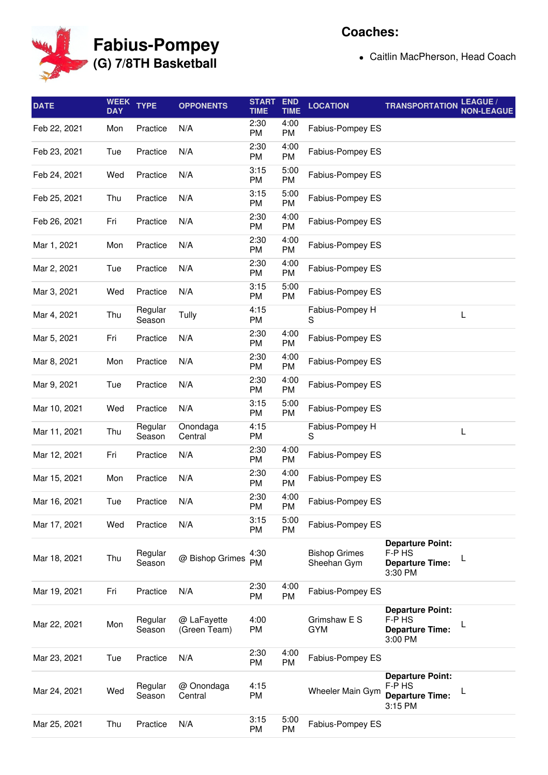

## **Fabius-Pompey (G) 7/8TH Basketball**

## **Coaches:**

Caitlin MacPherson, Head Coach

| <b>DATE</b>  | <b>WEEK</b><br><b>DAY</b> | <b>TYPE</b>       | <b>OPPONENTS</b>            | <b>START</b><br><b>TIME</b> | <b>END</b><br><b>TIME</b> | <b>LOCATION</b>                     | <b>TRANSPORTATION</b>                                                  | LEAGUE /<br><b>NON-LEAGUE</b> |
|--------------|---------------------------|-------------------|-----------------------------|-----------------------------|---------------------------|-------------------------------------|------------------------------------------------------------------------|-------------------------------|
| Feb 22, 2021 | Mon                       | Practice          | N/A                         | 2:30<br>PM                  | 4:00<br>PM                | Fabius-Pompey ES                    |                                                                        |                               |
| Feb 23, 2021 | Tue                       | Practice          | N/A                         | 2:30<br>PM                  | 4:00<br>PM                | Fabius-Pompey ES                    |                                                                        |                               |
| Feb 24, 2021 | Wed                       | Practice          | N/A                         | 3:15<br>PM                  | 5:00<br>PM                | Fabius-Pompey ES                    |                                                                        |                               |
| Feb 25, 2021 | Thu                       | Practice          | N/A                         | 3:15<br>PM                  | 5:00<br>PM                | Fabius-Pompey ES                    |                                                                        |                               |
| Feb 26, 2021 | Fri                       | Practice          | N/A                         | 2:30<br>PM                  | 4:00<br>PM                | Fabius-Pompey ES                    |                                                                        |                               |
| Mar 1, 2021  | Mon                       | Practice          | N/A                         | 2:30<br><b>PM</b>           | 4:00<br><b>PM</b>         | Fabius-Pompey ES                    |                                                                        |                               |
| Mar 2, 2021  | Tue                       | Practice          | N/A                         | 2:30<br>PM                  | 4:00<br>PM                | Fabius-Pompey ES                    |                                                                        |                               |
| Mar 3, 2021  | Wed                       | Practice          | N/A                         | 3:15<br><b>PM</b>           | 5:00<br>PM                | Fabius-Pompey ES                    |                                                                        |                               |
| Mar 4, 2021  | Thu                       | Regular<br>Season | Tully                       | 4:15<br><b>PM</b>           |                           | Fabius-Pompey H<br>S                |                                                                        | L                             |
| Mar 5, 2021  | Fri                       | Practice          | N/A                         | 2:30<br><b>PM</b>           | 4:00<br><b>PM</b>         | Fabius-Pompey ES                    |                                                                        |                               |
| Mar 8, 2021  | Mon                       | Practice          | N/A                         | 2:30<br>PM                  | 4:00<br>PM                | Fabius-Pompey ES                    |                                                                        |                               |
| Mar 9, 2021  | Tue                       | Practice          | N/A                         | 2:30<br>PM                  | 4:00<br>PM                | Fabius-Pompey ES                    |                                                                        |                               |
| Mar 10, 2021 | Wed                       | Practice          | N/A                         | 3:15<br>PM                  | 5:00<br>PM                | Fabius-Pompey ES                    |                                                                        |                               |
| Mar 11, 2021 | Thu                       | Regular<br>Season | Onondaga<br>Central         | 4:15<br>PM                  |                           | Fabius-Pompey H<br>S                |                                                                        | L                             |
| Mar 12, 2021 | Fri                       | Practice          | N/A                         | 2:30<br>PM                  | 4:00<br>PM                | Fabius-Pompey ES                    |                                                                        |                               |
| Mar 15, 2021 | Mon                       | Practice          | N/A                         | 2:30<br>PM                  | 4:00<br><b>PM</b>         | Fabius-Pompey ES                    |                                                                        |                               |
| Mar 16, 2021 | Tue                       | Practice          | N/A                         | 2:30<br>PM                  | 4:00<br>PM                | Fabius-Pompey ES                    |                                                                        |                               |
| Mar 17, 2021 | Wed                       | Practice          | N/A                         | 3:15<br><b>PM</b>           | 5:00<br>PM                | Fabius-Pompey ES                    |                                                                        |                               |
| Mar 18, 2021 | Thu                       | Regular<br>Season | @ Bishop Grimes             | 4:30<br><b>PM</b>           |                           | <b>Bishop Grimes</b><br>Sheehan Gym | <b>Departure Point:</b><br>F-P HS<br><b>Departure Time:</b><br>3:30 PM | L                             |
| Mar 19, 2021 | Fri                       | Practice          | N/A                         | 2:30<br>PM                  | 4:00<br><b>PM</b>         | Fabius-Pompey ES                    |                                                                        |                               |
| Mar 22, 2021 | Mon                       | Regular<br>Season | @ LaFayette<br>(Green Team) | 4:00<br>PM                  |                           | Grimshaw E S<br><b>GYM</b>          | <b>Departure Point:</b><br>F-P HS<br><b>Departure Time:</b><br>3:00 PM | L                             |
| Mar 23, 2021 | Tue                       | Practice          | N/A                         | 2:30<br>PM                  | 4:00<br>PM                | Fabius-Pompey ES                    |                                                                        |                               |
| Mar 24, 2021 | Wed                       | Regular<br>Season | @ Onondaga<br>Central       | 4:15<br>PM                  |                           | Wheeler Main Gym                    | <b>Departure Point:</b><br>F-P HS<br><b>Departure Time:</b><br>3:15 PM | L                             |
| Mar 25, 2021 | Thu                       | Practice          | N/A                         | 3:15<br>PM                  | 5:00<br>PM                | Fabius-Pompey ES                    |                                                                        |                               |